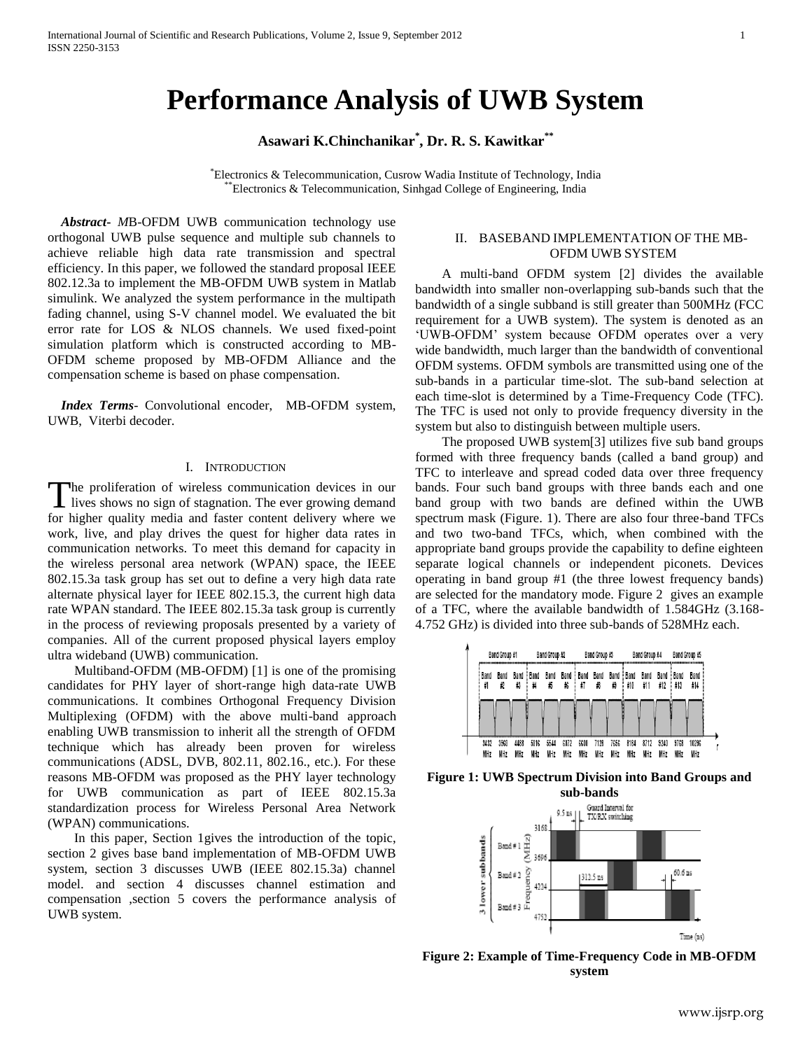# **Performance Analysis of UWB System**

**Asawari K.Chinchanikar\* , Dr. R. S. Kawitkar\*\***

\*Electronics & Telecommunication, Cusrow Wadia Institute of Technology, India \*\*Electronics & Telecommunication, Sinhgad College of Engineering, India

 *Abstract***-** *M*B-OFDM UWB communication technology use orthogonal UWB pulse sequence and multiple sub channels to achieve reliable high data rate transmission and spectral efficiency. In this paper, we followed the standard proposal IEEE 802.12.3a to implement the MB-OFDM UWB system in Matlab simulink. We analyzed the system performance in the multipath fading channel, using S-V channel model. We evaluated the bit error rate for LOS & NLOS channels. We used fixed-point simulation platform which is constructed according to MB-OFDM scheme proposed by MB-OFDM Alliance and the compensation scheme is based on phase compensation.

 *Index Terms*- Convolutional encoder, MB-OFDM system, UWB, Viterbi decoder.

#### I. INTRODUCTION

he proliferation of wireless communication devices in our The proliferation of wireless communication devices in our lives shows no sign of stagnation. The ever growing demand for higher quality media and faster content delivery where we work, live, and play drives the quest for higher data rates in communication networks. To meet this demand for capacity in the wireless personal area network (WPAN) space, the IEEE 802.15.3a task group has set out to define a very high data rate alternate physical layer for IEEE 802.15.3, the current high data rate WPAN standard. The IEEE 802.15.3a task group is currently in the process of reviewing proposals presented by a variety of companies. All of the current proposed physical layers employ ultra wideband (UWB) communication.

 Multiband-OFDM (MB-OFDM) [1] is one of the promising candidates for PHY layer of short-range high data-rate UWB communications. It combines Orthogonal Frequency Division Multiplexing (OFDM) with the above multi-band approach enabling UWB transmission to inherit all the strength of OFDM technique which has already been proven for wireless communications (ADSL, DVB, 802.11, 802.16., etc.). For these reasons MB-OFDM was proposed as the PHY layer technology for UWB communication as part of IEEE 802.15.3a standardization process for Wireless Personal Area Network (WPAN) communications.

 In this paper, Section 1gives the introduction of the topic, section 2 gives base band implementation of MB-OFDM UWB system, section 3 discusses UWB (IEEE 802.15.3a) channel model. and section 4 discusses channel estimation and compensation ,section 5 covers the performance analysis of UWB system.

## II. BASEBAND IMPLEMENTATION OF THE MB-OFDM UWB SYSTEM

 A multi-band OFDM system [2] divides the available bandwidth into smaller non-overlapping sub-bands such that the bandwidth of a single subband is still greater than 500MHz (FCC requirement for a UWB system). The system is denoted as an "UWB-OFDM" system because OFDM operates over a very wide bandwidth, much larger than the bandwidth of conventional OFDM systems. OFDM symbols are transmitted using one of the sub-bands in a particular time-slot. The sub-band selection at each time-slot is determined by a Time-Frequency Code (TFC). The TFC is used not only to provide frequency diversity in the system but also to distinguish between multiple users.

 The proposed UWB system[3] utilizes five sub band groups formed with three frequency bands (called a band group) and TFC to interleave and spread coded data over three frequency bands. Four such band groups with three bands each and one band group with two bands are defined within the UWB spectrum mask (Figure. 1). There are also four three-band TFCs and two two-band TFCs, which, when combined with the appropriate band groups provide the capability to define eighteen separate logical channels or independent piconets. Devices operating in band group #1 (the three lowest frequency bands) are selected for the mandatory mode. Figure 2 gives an example of a TFC, where the available bandwidth of 1.584GHz (3.168- 4.752 GHz) is divided into three sub-bands of 528MHz each.



**Figure 1: UWB Spectrum Division into Band Groups and sub-bands**



**Figure 2: Example of Time-Frequency Code in MB-OFDM system**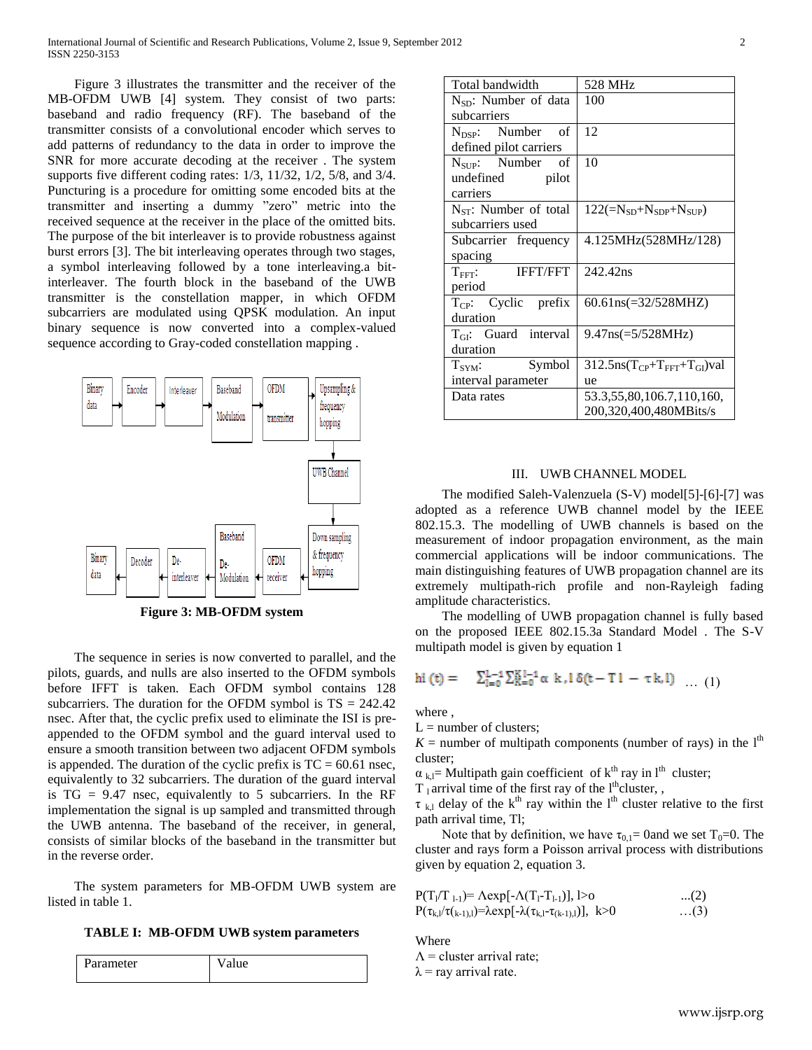Figure 3 illustrates the transmitter and the receiver of the MB-OFDM UWB [4] system. They consist of two parts: baseband and radio frequency (RF). The baseband of the transmitter consists of a convolutional encoder which serves to add patterns of redundancy to the data in order to improve the SNR for more accurate decoding at the receiver . The system supports five different coding rates: 1/3, 11/32, 1/2, 5/8, and 3/4. Puncturing is a procedure for omitting some encoded bits at the transmitter and inserting a dummy "zero" metric into the received sequence at the receiver in the place of the omitted bits. The purpose of the bit interleaver is to provide robustness against burst errors [3]. The bit interleaving operates through two stages, a symbol interleaving followed by a tone interleaving.a bitinterleaver. The fourth block in the baseband of the UWB transmitter is the constellation mapper, in which OFDM subcarriers are modulated using QPSK modulation. An input binary sequence is now converted into a complex-valued sequence according to Gray-coded constellation mapping .



**Figure 3: MB-OFDM system**

 The sequence in series is now converted to parallel, and the pilots, guards, and nulls are also inserted to the OFDM symbols before IFFT is taken. Each OFDM symbol contains 128 subcarriers. The duration for the OFDM symbol is  $TS = 242.42$ nsec. After that, the cyclic prefix used to eliminate the ISI is preappended to the OFDM symbol and the guard interval used to ensure a smooth transition between two adjacent OFDM symbols is appended. The duration of the cyclic prefix is  $TC = 60.61$  nsec, equivalently to 32 subcarriers. The duration of the guard interval is  $TG = 9.47$  nsec, equivalently to 5 subcarriers. In the RF implementation the signal is up sampled and transmitted through the UWB antenna. The baseband of the receiver, in general, consists of similar blocks of the baseband in the transmitter but in the reverse order.

 The system parameters for MB-OFDM UWB system are listed in table 1.

**TABLE I: MB-OFDM UWB system parameters**

| Parameter | 1110 |
|-----------|------|
|           |      |

| Total bandwidth                    | 528 MHz                                          |  |
|------------------------------------|--------------------------------------------------|--|
| $N_{SD}$ : Number of data          | 100                                              |  |
| subcarriers                        |                                                  |  |
| $N_{\text{DSP}}$ : Number of       | 12                                               |  |
| defined pilot carriers             |                                                  |  |
| $N_{\text{SUP}}$ : Number of       | 10                                               |  |
| undefined pilot                    |                                                  |  |
| carriers                           |                                                  |  |
| $N_{ST}$ : Number of total         | $122(=\!N_{SD}+N_{SDP}+N_{SUP})$                 |  |
| subcarriers used                   |                                                  |  |
| Subcarrier frequency               | 4.125MHz(528MHz/128)                             |  |
| spacing                            |                                                  |  |
| <b>IFFT/FFT</b><br>$T_{\rm FFT}$ : | 242.42ns                                         |  |
| period                             |                                                  |  |
| $T_{CP}$ : Cyclic prefix           | $60.61ns (=32/528MHz)$                           |  |
| duration                           |                                                  |  |
| $T_{\text{GI}}$ : Guard interval   | $9.47$ ns(=5/528MHz)                             |  |
| duration                           |                                                  |  |
| $T_{SYM}$ : Symbol                 | $312.5$ ns( $T_{CP}$ + $T_{FFT}$ + $T_{GI}$ )val |  |
| interval parameter                 | ue                                               |  |
| Data rates                         | 53.3,55,80,106.7,110,160,                        |  |
|                                    | 200,320,400,480MBits/s                           |  |

## III. UWB CHANNEL MODEL

 The modified Saleh-Valenzuela (S-V) model[5]-[6]-[7] was adopted as a reference UWB channel model by the IEEE 802.15.3. The modelling of UWB channels is based on the measurement of indoor propagation environment, as the main commercial applications will be indoor communications. The main distinguishing features of UWB propagation channel are its extremely multipath-rich profile and non-Rayleigh fading amplitude characteristics.

 The modelling of UWB propagation channel is fully based on the proposed IEEE 802.15.3a Standard Model . The S-V multipath model is given by equation 1

$$
hi(t) = \sum_{l=0}^{L-1} \sum_{k=0}^{K-l-1} \alpha k, l \delta(t-T1 - \tau k, l) \dots (1)
$$

where ,

 $L =$  number of clusters;

 $K =$  number of multipath components (number of rays) in the  $l<sup>th</sup>$ cluster;

 $\alpha_{\rm kl}$ = Multipath gain coefficient of k<sup>th</sup> ray in l<sup>th</sup> cluster;

 $T_1$  arrival time of the first ray of the l<sup>th</sup>cluster, ,

 $\tau_{k,l}$  delay of the k<sup>th</sup> ray within the l<sup>th</sup> cluster relative to the first path arrival time, Tl;

Note that by definition, we have  $\tau_{0,1}=$  0and we set T<sub>0</sub>=0. The cluster and rays form a Poisson arrival process with distributions given by equation 2, equation 3.

| $P(T_1/T_{1-1}) = \Lambda exp[-\Lambda(T_1-T_{1-1})],$ 1>0                             | $(2)$      |
|----------------------------------------------------------------------------------------|------------|
| $P(\tau_{k,l}/\tau_{(k-1),l}) = \lambda exp[-\lambda(\tau_{k,l}-\tau_{(k-1),l})], k>0$ | $\dots(3)$ |

Where

 $\Lambda$  = cluster arrival rate;  $\lambda$  = ray arrival rate.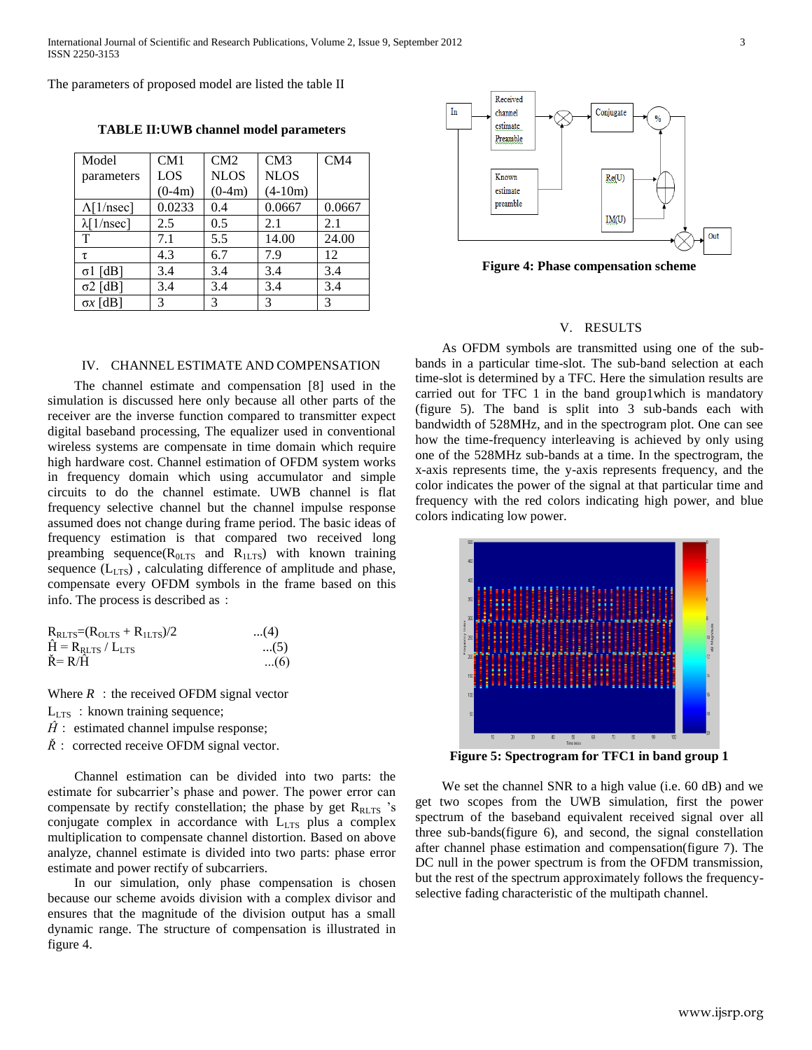The parameters of proposed model are listed the table II

**TABLE II:UWB channel model parameters**

| Model              | CM1      | CM2         | CM3         | CM4    |
|--------------------|----------|-------------|-------------|--------|
| parameters         | LOS      | <b>NLOS</b> | <b>NLOS</b> |        |
|                    | $(0-4m)$ | $(0-4m)$    | $(4-10m)$   |        |
| $\Lambda$ [1/nsec] | 0.0233   | 0.4         | 0.0667      | 0.0667 |
| $\lambda$ [1/nsec] | 2.5      | 0.5         | 2.1         | 2.1    |
| T                  | 7.1      | 5.5         | 14.00       | 24.00  |
| τ                  | 4.3      | 6.7         | 7.9         | 12     |
| $\sigma$ 1 [dB]    | 3.4      | 3.4         | 3.4         | 3.4    |
| $\sigma$ 2 [dB]    | 3.4      | 3.4         | 3.4         | 3.4    |
| $\sigma x$ [dB]    | 3        | 3           | 3           | 3      |



 The channel estimate and compensation [8] used in the simulation is discussed here only because all other parts of the receiver are the inverse function compared to transmitter expect digital baseband processing, The equalizer used in conventional wireless systems are compensate in time domain which require high hardware cost. Channel estimation of OFDM system works in frequency domain which using accumulator and simple circuits to do the channel estimate. UWB channel is flat frequency selective channel but the channel impulse response assumed does not change during frame period. The basic ideas of frequency estimation is that compared two received long preambing sequence( $R<sub>0LTS</sub>$  and  $R<sub>1LTS</sub>$ ) with known training sequence (L<sub>LTS</sub>), calculating difference of amplitude and phase, compensate every OFDM symbols in the frame based on this info. The process is described as:

| $R_{RLTS} = (R_{OLTS} + R_{1LTS})/2$ | $(4)$ |
|--------------------------------------|-------|
| $\hat{H} = R_{RLTS} / L_{LTS}$       | (5)   |
| $\check{R} = R/\hat{H}$              | $(6)$ |

Where  $R$ : the received OFDM signal vector

- $L_{LTS}$ : known training sequence;
- $\hat{H}$ : estimated channel impulse response;
- $\check{R}$ : corrected receive OFDM signal vector.

 Channel estimation can be divided into two parts: the estimate for subcarrier's phase and power. The power error can compensate by rectify constellation; the phase by get  $R<sub>RLTS</sub>$  's conjugate complex in accordance with  $L_{LTS}$  plus a complex multiplication to compensate channel distortion. Based on above analyze, channel estimate is divided into two parts: phase error estimate and power rectify of subcarriers.

 In our simulation, only phase compensation is chosen because our scheme avoids division with a complex divisor and ensures that the magnitude of the division output has a small dynamic range. The structure of compensation is illustrated in figure 4.



**Figure 4: Phase compensation scheme**

## V. RESULTS

 As OFDM symbols are transmitted using one of the subbands in a particular time-slot. The sub-band selection at each time-slot is determined by a TFC. Here the simulation results are carried out for TFC 1 in the band group1which is mandatory (figure 5). The band is split into 3 sub-bands each with bandwidth of 528MHz, and in the spectrogram plot. One can see how the time-frequency interleaving is achieved by only using one of the 528MHz sub-bands at a time. In the spectrogram, the x-axis represents time, the y-axis represents frequency, and the color indicates the power of the signal at that particular time and frequency with the red colors indicating high power, and blue colors indicating low power.



**Figure 5: Spectrogram for TFC1 in band group 1**

 We set the channel SNR to a high value (i.e. 60 dB) and we get two scopes from the UWB simulation, first the power spectrum of the baseband equivalent received signal over all three sub-bands(figure 6), and second, the signal constellation after channel phase estimation and compensation(figure 7). The DC null in the power spectrum is from the OFDM transmission, but the rest of the spectrum approximately follows the frequencyselective fading characteristic of the multipath channel.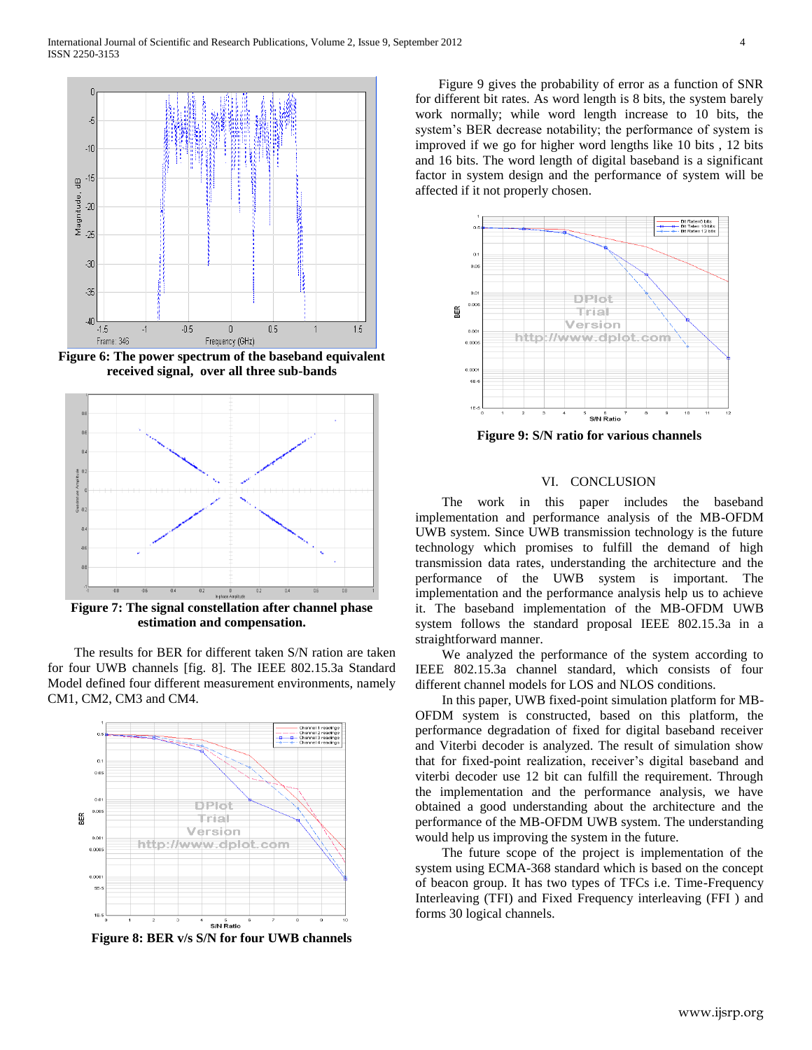

**Figure 6: The power spectrum of the baseband equivalent received signal, over all three sub-bands**



**Figure 7: The signal constellation after channel phase estimation and compensation.**

 The results for BER for different taken S/N ration are taken for four UWB channels [fig. 8]. The IEEE 802.15.3a Standard Model defined four different measurement environments, namely CM1, CM2, CM3 and CM4.



**Figure 8: BER v/s S/N for four UWB channels**

 Figure 9 gives the probability of error as a function of SNR for different bit rates. As word length is 8 bits, the system barely work normally; while word length increase to 10 bits, the system's BER decrease notability; the performance of system is improved if we go for higher word lengths like 10 bits , 12 bits and 16 bits. The word length of digital baseband is a significant factor in system design and the performance of system will be affected if it not properly chosen.



**Figure 9: S/N ratio for various channels**

#### VI. CONCLUSION

 The work in this paper includes the baseband implementation and performance analysis of the MB-OFDM UWB system. Since UWB transmission technology is the future technology which promises to fulfill the demand of high transmission data rates, understanding the architecture and the performance of the UWB system is important. The implementation and the performance analysis help us to achieve it. The baseband implementation of the MB-OFDM UWB system follows the standard proposal IEEE 802.15.3a in a straightforward manner.

 We analyzed the performance of the system according to IEEE 802.15.3a channel standard, which consists of four different channel models for LOS and NLOS conditions.

 In this paper, UWB fixed-point simulation platform for MB-OFDM system is constructed, based on this platform, the performance degradation of fixed for digital baseband receiver and Viterbi decoder is analyzed. The result of simulation show that for fixed-point realization, receiver"s digital baseband and viterbi decoder use 12 bit can fulfill the requirement. Through the implementation and the performance analysis, we have obtained a good understanding about the architecture and the performance of the MB-OFDM UWB system. The understanding would help us improving the system in the future.

 The future scope of the project is implementation of the system using ECMA-368 standard which is based on the concept of beacon group. It has two types of TFCs i.e. Time-Frequency Interleaving (TFI) and Fixed Frequency interleaving (FFI ) and forms 30 logical channels.